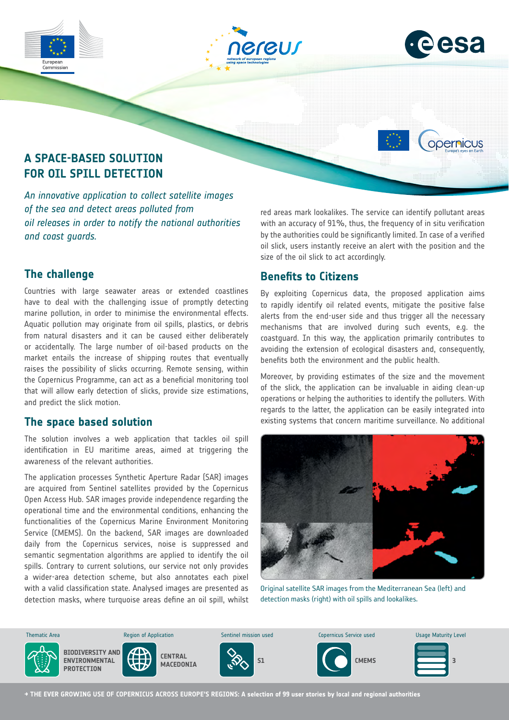



opernicus

# **A SPACE-BASED SOLUTION FOR OIL SPILL DETECTION**

*An innovative application to collect satellite images of the sea and detect areas polluted from oil releases in order to notify the national authorities and coast guards.*

red areas mark lookalikes. The service can identify pollutant areas with an accuracy of 91%, thus, the frequency of in situ verification by the authorities could be significantly limited. In case of a verified oil slick, users instantly receive an alert with the position and the size of the oil slick to act accordingly.

# **The challenge**

Commission

Countries with large seawater areas or extended coastlines have to deal with the challenging issue of promptly detecting marine pollution, in order to minimise the environmental effects. Aquatic pollution may originate from oil spills, plastics, or debris from natural disasters and it can be caused either deliberately or accidentally. The large number of oil-based products on the market entails the increase of shipping routes that eventually raises the possibility of slicks occurring. Remote sensing, within the Copernicus Programme, can act as a beneficial monitoring tool that will allow early detection of slicks, provide size estimations, and predict the slick motion.

### **The space based solution**

The solution involves a web application that tackles oil spill identification in EU maritime areas, aimed at triggering the awareness of the relevant authorities.

The application processes Synthetic Aperture Radar (SAR) images are acquired from Sentinel satellites provided by the Copernicus Open Access Hub. SAR images provide independence regarding the operational time and the environmental conditions, enhancing the functionalities of the Copernicus Marine Environment Monitoring Service (CMEMS). On the backend, SAR images are downloaded daily from the Copernicus services, noise is suppressed and semantic segmentation algorithms are applied to identify the oil spills. Contrary to current solutions, our service not only provides a wider-area detection scheme, but also annotates each pixel with a valid classification state. Analysed images are presented as detection masks, where turquoise areas define an oil spill, whilst and Urban

# **Benefits to Citizens**

By exploiting Copernicus data, the proposed application aims to rapidly identify oil related events, mitigate the positive false alerts from the end-user side and thus trigger all the necessary mechanisms that are involved during such events, e.g. the coastguard. In this way, the application primarily contributes to avoiding the extension of ecological disasters and, consequently, benefits both the environment and the public health.

Moreover, by providing estimates of the size and the movement of the slick, the application can be invaluable in aiding clean-up operations or helping the authorities to identify the polluters. With regards to the latter, the application can be easily integrated into existing systems that concern maritime surveillance. No additional



Original satellite SAR images from the Mediterranean Sea (left) and detection masks (right) with oil spills and lookalikes.



**→ THE EVER GROWING USE OF COPERNICUS ACROSS EUROPE'S REGIONS: A selection of 99 user stories by local and regional authorities**